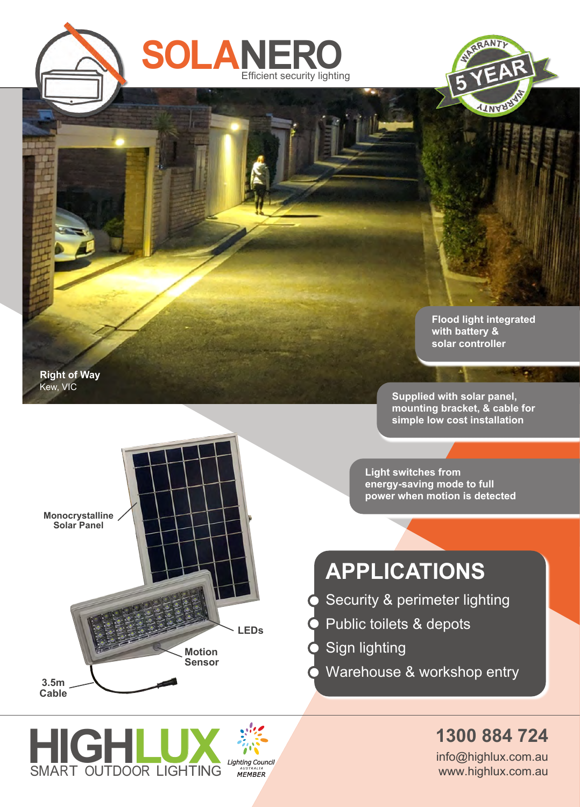



**Flood light integrated with battery & solar controller**

Ŧ

**Right of Way Right of Way** Kew, VIC Kew, VIC

**Supplied with solar panel, mounting bracket, & cable for simple low cost installation**

**Light switches from energy-saving mode to full power when motion is detected**

## **APPLICATIONS**

- Security & perimeter lighting
- Public toilets & depots
- Sign lighting
- Warehouse & workshop entry

**1300 884 724**